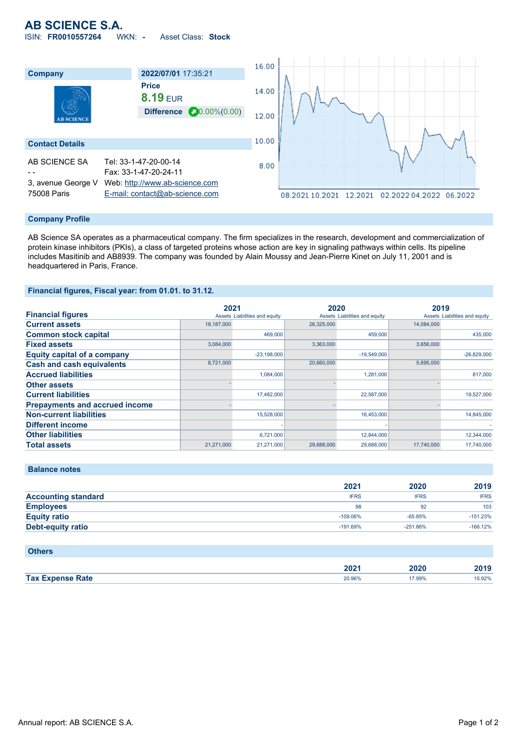# **AB SCIENCE S.A.** ISIN: **FR0010557264** WKN: **-** Asset Class: **Stock**

16.00 **Company 2022/07/01** 17:35:21 **Price** 14.00 **8.19** EUR **Difference 20.00%(0.00)** 12.00 10.00 **Contact Details** AB SCIENCE SA Tel: 33-1-47-20-00-14 8.00 - - Fax: 33-1-47-20-24-11 3, avenue George V Web: [http://www.ab-science.com](http://www.ab-science.com/) 75008 Paris [E-mail: contact@ab-science.com](mailto:contact@ab-science.com) 08.2021 10.2021 12.2021 02.2022 04.2022 06.2022

#### **Company Profile**

AB Science SA operates as a pharmaceutical company. The firm specializes in the research, development and commercialization of protein kinase inhibitors (PKIs), a class of targeted proteins whose action are key in signaling pathways within cells. Its pipeline includes Masitinib and AB8939. The company was founded by Alain Moussy and Jean-Pierre Kinet on July 11, 2001 and is headquartered in Paris, France.

## **Financial figures, Fiscal year: from 01.01. to 31.12.**

|                                       | 2021       |                               | 2020       |                               | 2019       |                               |
|---------------------------------------|------------|-------------------------------|------------|-------------------------------|------------|-------------------------------|
| <b>Financial figures</b>              |            | Assets Liabilities and equity |            | Assets Liabilities and equity |            | Assets Liabilities and equity |
| <b>Current assets</b>                 | 18,187,000 |                               | 26,325,000 |                               | 14,084,000 |                               |
| <b>Common stock capital</b>           |            | 469,000                       |            | 459,000                       |            | 435,000                       |
| <b>Fixed assets</b>                   | 3.084.000  |                               | 3,363,000  |                               | 3.656.000  |                               |
| <b>Equity capital of a company</b>    |            | $-23,198,000$                 |            | $-19,549,000$                 |            | $-26,829,000$                 |
| <b>Cash and cash equivalents</b>      | 8,721,000  |                               | 20,660,000 |                               | 5,695,000  |                               |
| <b>Accrued liabilities</b>            |            | 1,084,000                     |            | 1,281,000                     |            | 817,000                       |
| <b>Other assets</b>                   |            |                               |            |                               |            |                               |
| <b>Current liabilities</b>            |            | 17,482,000                    |            | 22,587,000                    |            | 19,527,000                    |
| <b>Prepayments and accrued income</b> |            |                               |            |                               |            |                               |
| <b>Non-current liabilities</b>        |            | 15,528,000                    |            | 16,453,000                    |            | 14,845,000                    |
| <b>Different income</b>               |            |                               |            |                               |            |                               |
| <b>Other liabilities</b>              |            | 6,721,000                     |            | 12,844,000                    |            | 12,344,000                    |
| <b>Total assets</b>                   | 21,271,000 | 21,271,000                    | 29,688,000 | 29,688,000                    | 17.740.000 | 17,740,000                    |

|                            | 2021        | 2020        | 2019        |
|----------------------------|-------------|-------------|-------------|
| <b>Accounting standard</b> | <b>IFRS</b> | <b>IFRS</b> | <b>IFRS</b> |
| <b>Employees</b>           | 98          | 92          | 103         |
| <b>Equity ratio</b>        | $-109.06\%$ | $-65.85%$   | $-151.23%$  |
| <b>Debt-equity ratio</b>   | $-191.69%$  | $-251.86%$  | $-166.12%$  |
|                            |             |             |             |

## **Others**

**Balance notes**

|                | nnne<br>494 F           | 2020         | $\sim$ 4 $\sim$<br>20 I J |
|----------------|-------------------------|--------------|---------------------------|
| Tax E.<br>Rate | 20,060<br>ZU. 9070<br>. | $.99\%$<br>. | 5.92%<br>.                |